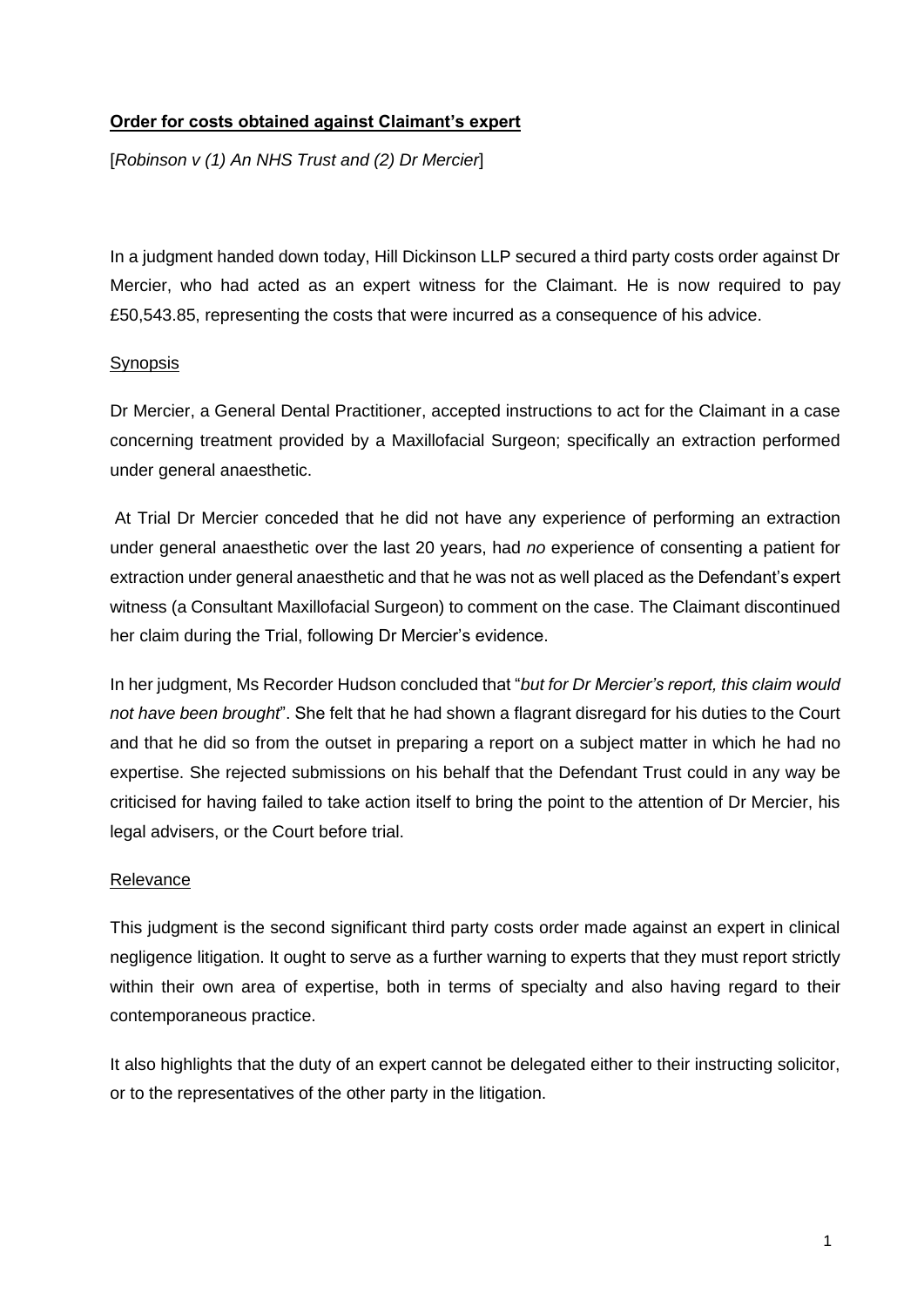## **Order for costs obtained against Claimant's expert**

[*Robinson v (1) An NHS Trust and (2) Dr Mercier*]

In a judgment handed down today, Hill Dickinson LLP secured a third party costs order against Dr Mercier, who had acted as an expert witness for the Claimant. He is now required to pay £50,543.85, representing the costs that were incurred as a consequence of his advice.

## **Synopsis**

Dr Mercier, a General Dental Practitioner, accepted instructions to act for the Claimant in a case concerning treatment provided by a Maxillofacial Surgeon; specifically an extraction performed under general anaesthetic.

At Trial Dr Mercier conceded that he did not have any experience of performing an extraction under general anaesthetic over the last 20 years, had *no* experience of consenting a patient for extraction under general anaesthetic and that he was not as well placed as the Defendant's expert witness (a Consultant Maxillofacial Surgeon) to comment on the case. The Claimant discontinued her claim during the Trial, following Dr Mercier's evidence.

In her judgment, Ms Recorder Hudson concluded that "*but for Dr Mercier's report, this claim would not have been brought*". She felt that he had shown a flagrant disregard for his duties to the Court and that he did so from the outset in preparing a report on a subject matter in which he had no expertise. She rejected submissions on his behalf that the Defendant Trust could in any way be criticised for having failed to take action itself to bring the point to the attention of Dr Mercier, his legal advisers, or the Court before trial.

## Relevance

This judgment is the second significant third party costs order made against an expert in clinical negligence litigation. It ought to serve as a further warning to experts that they must report strictly within their own area of expertise, both in terms of specialty and also having regard to their contemporaneous practice.

It also highlights that the duty of an expert cannot be delegated either to their instructing solicitor, or to the representatives of the other party in the litigation.